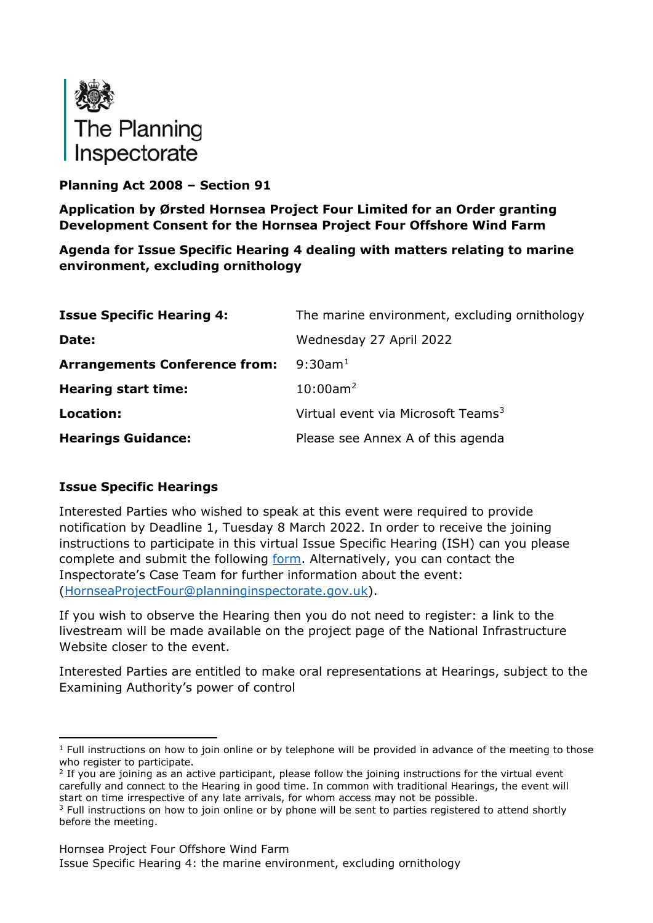

# **Planning Act 2008 – Section 91**

**Application by Ørsted Hornsea Project Four Limited for an Order granting Development Consent for the Hornsea Project Four Offshore Wind Farm**

**Agenda for Issue Specific Hearing 4 dealing with matters relating to marine environment, excluding ornithology**

| <b>Issue Specific Hearing 4:</b>     | The marine environment, excluding ornithology  |
|--------------------------------------|------------------------------------------------|
| Date:                                | Wednesday 27 April 2022                        |
| <b>Arrangements Conference from:</b> | $9:30$ am <sup>1</sup>                         |
| <b>Hearing start time:</b>           | $10:00$ am <sup>2</sup>                        |
| Location:                            | Virtual event via Microsoft Teams <sup>3</sup> |
| <b>Hearings Guidance:</b>            | Please see Annex A of this agenda              |

## **Issue Specific Hearings**

Interested Parties who wished to speak at this event were required to provide notification by Deadline 1, Tuesday 8 March 2022. In order to receive the joining instructions to participate in this virtual Issue Specific Hearing (ISH) can you please complete and submit the following [form.](https://forms.office.com/pages/responsepage.aspx?id=mN94WIhvq0iTIpmM5VcIje6FHDvzmKBHiEi84DrjxWpUOEJNN00zTTVVTzhaVUxBSU1KTkFMUjY5SC4u) Alternatively, you can contact the Inspectorate's Case Team for further information about the event: [\(HornseaProjectFour@planninginspectorate.gov.uk\)](mailto:HornseaProjectFour@planninginspectorate.gov.uk).

If you wish to observe the Hearing then you do not need to register: a link to the livestream will be made available on the project page of the National Infrastructure Website closer to the event.

Interested Parties are entitled to make oral representations at Hearings, subject to the Examining Authority's power of control

Hornsea Project Four Offshore Wind Farm

Issue Specific Hearing 4: the marine environment, excluding ornithology

<span id="page-0-0"></span> $1$  Full instructions on how to join online or by telephone will be provided in advance of the meeting to those who register to participate.

<span id="page-0-1"></span> $2$  If you are joining as an active participant, please follow the joining instructions for the virtual event carefully and connect to the Hearing in good time. In common with traditional Hearings, the event will start on time irrespective of any late arrivals, for whom access may not be possible.

<span id="page-0-2"></span> $3$  Full instructions on how to join online or by phone will be sent to parties registered to attend shortly before the meeting.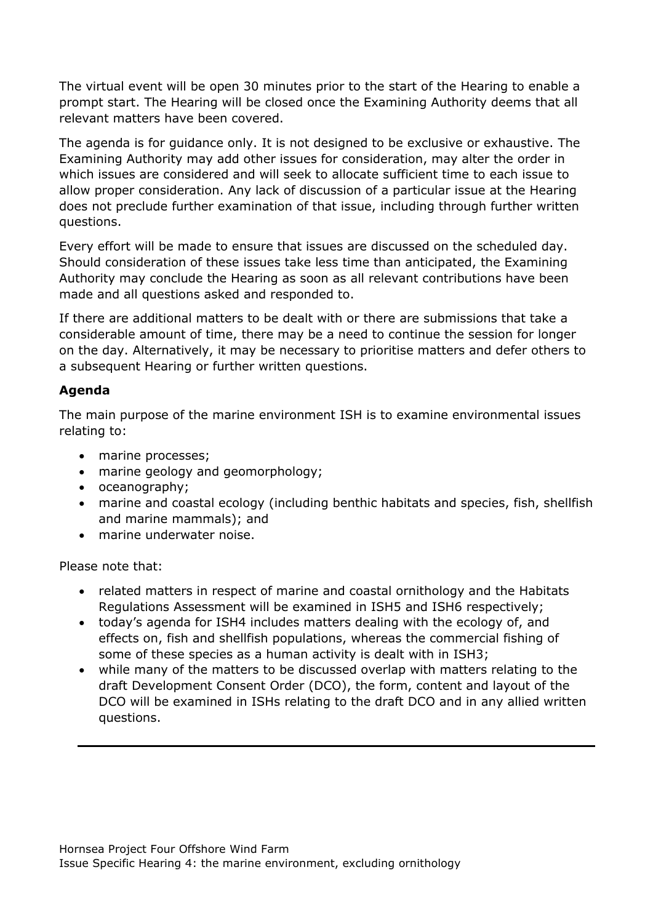The virtual event will be open 30 minutes prior to the start of the Hearing to enable a prompt start. The Hearing will be closed once the Examining Authority deems that all relevant matters have been covered.

The agenda is for guidance only. It is not designed to be exclusive or exhaustive. The Examining Authority may add other issues for consideration, may alter the order in which issues are considered and will seek to allocate sufficient time to each issue to allow proper consideration. Any lack of discussion of a particular issue at the Hearing does not preclude further examination of that issue, including through further written questions.

Every effort will be made to ensure that issues are discussed on the scheduled day. Should consideration of these issues take less time than anticipated, the Examining Authority may conclude the Hearing as soon as all relevant contributions have been made and all questions asked and responded to.

If there are additional matters to be dealt with or there are submissions that take a considerable amount of time, there may be a need to continue the session for longer on the day. Alternatively, it may be necessary to prioritise matters and defer others to a subsequent Hearing or further written questions.

## **Agenda**

The main purpose of the marine environment ISH is to examine environmental issues relating to:

- marine processes;
- marine geology and geomorphology;
- oceanography;
- marine and coastal ecology (including benthic habitats and species, fish, shellfish and marine mammals); and
- marine underwater noise.

Please note that:

- related matters in respect of marine and coastal ornithology and the Habitats Regulations Assessment will be examined in ISH5 and ISH6 respectively;
- today's agenda for ISH4 includes matters dealing with the ecology of, and effects on, fish and shellfish populations, whereas the commercial fishing of some of these species as a human activity is dealt with in ISH3;
- while many of the matters to be discussed overlap with matters relating to the draft Development Consent Order (DCO), the form, content and layout of the DCO will be examined in ISHs relating to the draft DCO and in any allied written questions.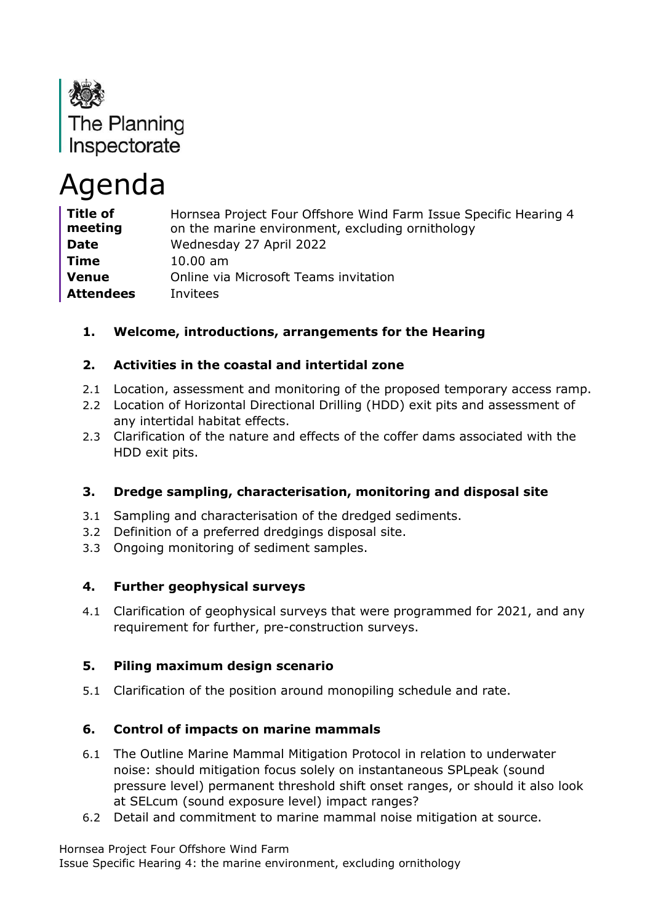

# Agenda

| <b>Title of</b><br>meeting | Hornsea Project Four Offshore Wind Farm Issue Specific Hearing 4<br>on the marine environment, excluding ornithology |
|----------------------------|----------------------------------------------------------------------------------------------------------------------|
| <b>Date</b>                | Wednesday 27 April 2022                                                                                              |
| <b>Time</b>                | $10.00$ am                                                                                                           |
| <b>Venue</b>               | Online via Microsoft Teams invitation                                                                                |
| <b>Attendees</b>           | Invitees                                                                                                             |

# **1. Welcome, introductions, arrangements for the Hearing**

#### **2. Activities in the coastal and intertidal zone**

- 2.1 Location, assessment and monitoring of the proposed temporary access ramp.
- 2.2 Location of Horizontal Directional Drilling (HDD) exit pits and assessment of any intertidal habitat effects.
- 2.3 Clarification of the nature and effects of the coffer dams associated with the HDD exit pits.

#### **3. Dredge sampling, characterisation, monitoring and disposal site**

- 3.1 Sampling and characterisation of the dredged sediments.
- 3.2 Definition of a preferred dredgings disposal site.
- 3.3 Ongoing monitoring of sediment samples.

## **4. Further geophysical surveys**

4.1 Clarification of geophysical surveys that were programmed for 2021, and any requirement for further, pre-construction surveys.

#### **5. Piling maximum design scenario**

5.1 Clarification of the position around monopiling schedule and rate.

## **6. Control of impacts on marine mammals**

- 6.1 The Outline Marine Mammal Mitigation Protocol in relation to underwater noise: should mitigation focus solely on instantaneous SPLpeak (sound pressure level) permanent threshold shift onset ranges, or should it also look at SELcum (sound exposure level) impact ranges?
- 6.2 Detail and commitment to marine mammal noise mitigation at source.

Hornsea Project Four Offshore Wind Farm

Issue Specific Hearing 4: the marine environment, excluding ornithology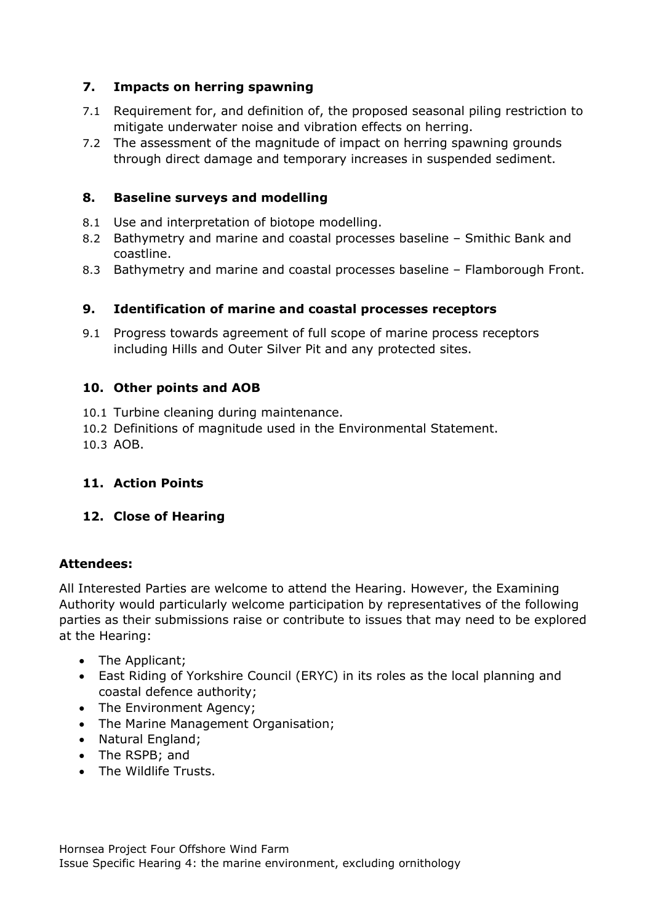# **7. Impacts on herring spawning**

- 7.1 Requirement for, and definition of, the proposed seasonal piling restriction to mitigate underwater noise and vibration effects on herring.
- 7.2 The assessment of the magnitude of impact on herring spawning grounds through direct damage and temporary increases in suspended sediment.

#### **8. Baseline surveys and modelling**

- 8.1 Use and interpretation of biotope modelling.
- 8.2 Bathymetry and marine and coastal processes baseline Smithic Bank and coastline.
- 8.3 Bathymetry and marine and coastal processes baseline Flamborough Front.

#### **9. Identification of marine and coastal processes receptors**

9.1 Progress towards agreement of full scope of marine process receptors including Hills and Outer Silver Pit and any protected sites.

#### **10. Other points and AOB**

- 10.1 Turbine cleaning during maintenance.
- 10.2 Definitions of magnitude used in the Environmental Statement.
- 10.3 AOB.

## **11. Action Points**

#### **12. Close of Hearing**

#### **Attendees:**

All Interested Parties are welcome to attend the Hearing. However, the Examining Authority would particularly welcome participation by representatives of the following parties as their submissions raise or contribute to issues that may need to be explored at the Hearing:

- The Applicant;
- East Riding of Yorkshire Council (ERYC) in its roles as the local planning and coastal defence authority;
- The Environment Agency;
- The Marine Management Organisation;
- Natural England;
- The RSPB; and
- The Wildlife Trusts.